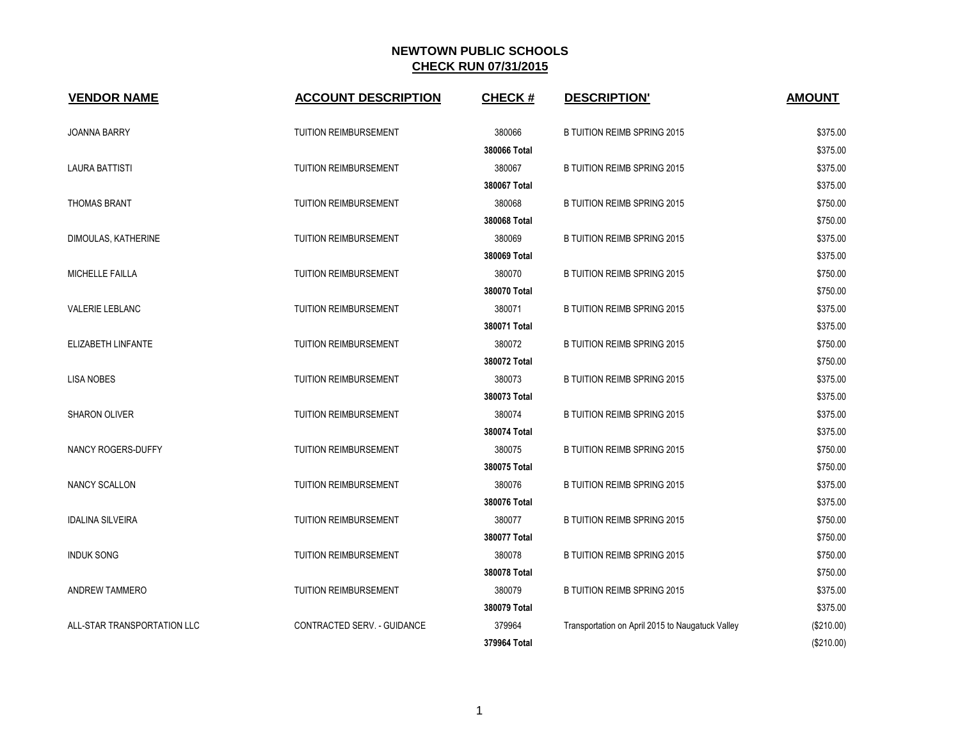| <b>VENDOR NAME</b>          | <b>ACCOUNT DESCRIPTION</b>   | <b>CHECK#</b> | <b>DESCRIPTION'</b>                              | <b>AMOUNT</b> |
|-----------------------------|------------------------------|---------------|--------------------------------------------------|---------------|
| <b>JOANNA BARRY</b>         | <b>TUITION REIMBURSEMENT</b> | 380066        | <b>B TUITION REIMB SPRING 2015</b>               | \$375.00      |
|                             |                              | 380066 Total  |                                                  | \$375.00      |
| <b>LAURA BATTISTI</b>       | <b>TUITION REIMBURSEMENT</b> | 380067        | <b>B TUITION REIMB SPRING 2015</b>               | \$375.00      |
|                             |                              | 380067 Total  |                                                  | \$375.00      |
| <b>THOMAS BRANT</b>         | <b>TUITION REIMBURSEMENT</b> | 380068        | <b>B TUITION REIMB SPRING 2015</b>               | \$750.00      |
|                             |                              | 380068 Total  |                                                  | \$750.00      |
| DIMOULAS, KATHERINE         | <b>TUITION REIMBURSEMENT</b> | 380069        | <b>B TUITION REIMB SPRING 2015</b>               | \$375.00      |
|                             |                              | 380069 Total  |                                                  | \$375.00      |
| MICHELLE FAILLA             | <b>TUITION REIMBURSEMENT</b> | 380070        | <b>B TUITION REIMB SPRING 2015</b>               | \$750.00      |
|                             |                              | 380070 Total  |                                                  | \$750.00      |
| <b>VALERIE LEBLANC</b>      | <b>TUITION REIMBURSEMENT</b> | 380071        | <b>B TUITION REIMB SPRING 2015</b>               | \$375.00      |
|                             |                              | 380071 Total  |                                                  | \$375.00      |
| ELIZABETH LINFANTE          | <b>TUITION REIMBURSEMENT</b> | 380072        | <b>B TUITION REIMB SPRING 2015</b>               | \$750.00      |
|                             |                              | 380072 Total  |                                                  | \$750.00      |
| <b>LISA NOBES</b>           | <b>TUITION REIMBURSEMENT</b> | 380073        | <b>B TUITION REIMB SPRING 2015</b>               | \$375.00      |
|                             |                              | 380073 Total  |                                                  | \$375.00      |
| SHARON OLIVER               | <b>TUITION REIMBURSEMENT</b> | 380074        | <b>B TUITION REIMB SPRING 2015</b>               | \$375.00      |
|                             |                              | 380074 Total  |                                                  | \$375.00      |
| NANCY ROGERS-DUFFY          | <b>TUITION REIMBURSEMENT</b> | 380075        | <b>B TUITION REIMB SPRING 2015</b>               | \$750.00      |
|                             |                              | 380075 Total  |                                                  | \$750.00      |
| <b>NANCY SCALLON</b>        | <b>TUITION REIMBURSEMENT</b> | 380076        | <b>B TUITION REIMB SPRING 2015</b>               | \$375.00      |
|                             |                              | 380076 Total  |                                                  | \$375.00      |
| <b>IDALINA SILVEIRA</b>     | <b>TUITION REIMBURSEMENT</b> | 380077        | <b>B TUITION REIMB SPRING 2015</b>               | \$750.00      |
|                             |                              | 380077 Total  |                                                  | \$750.00      |
| <b>INDUK SONG</b>           | <b>TUITION REIMBURSEMENT</b> | 380078        | <b>B TUITION REIMB SPRING 2015</b>               | \$750.00      |
|                             |                              | 380078 Total  |                                                  | \$750.00      |
| ANDREW TAMMERO              | <b>TUITION REIMBURSEMENT</b> | 380079        | B TUITION REIMB SPRING 2015                      | \$375.00      |
|                             |                              | 380079 Total  |                                                  | \$375.00      |
| ALL-STAR TRANSPORTATION LLC | CONTRACTED SERV. - GUIDANCE  | 379964        | Transportation on April 2015 to Naugatuck Valley | (\$210.00)    |
|                             |                              | 379964 Total  |                                                  | (\$210.00)    |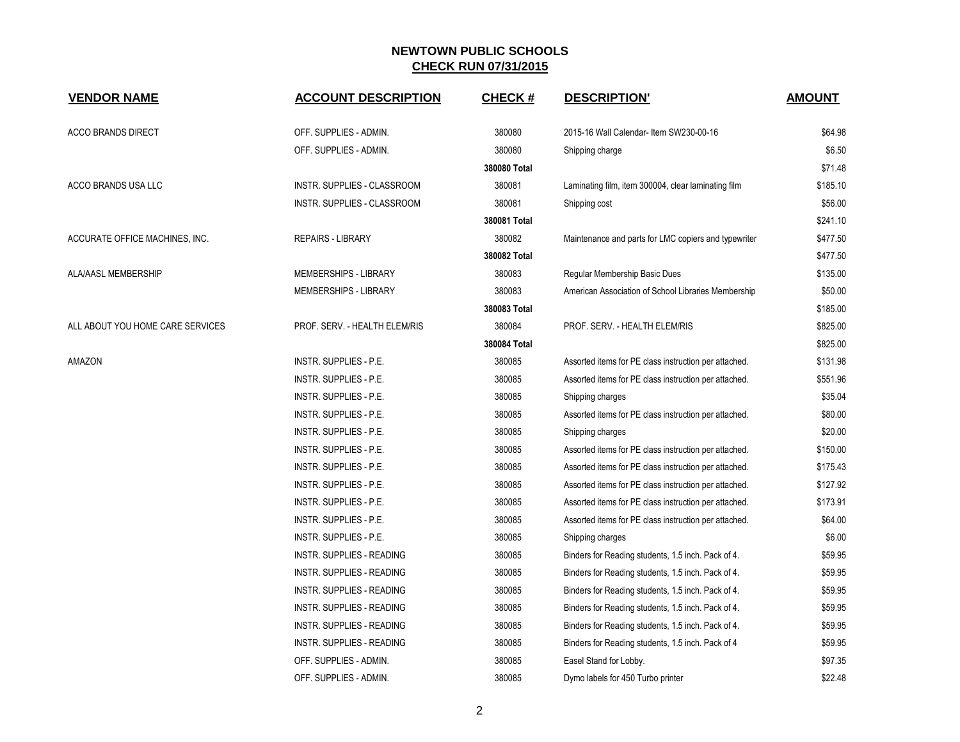| <b>VENDOR NAME</b>               | <b>ACCOUNT DESCRIPTION</b>         | <b>CHECK#</b> | <b>DESCRIPTION'</b>                                   | <b>AMOUNT</b> |
|----------------------------------|------------------------------------|---------------|-------------------------------------------------------|---------------|
| <b>ACCO BRANDS DIRECT</b>        | OFF. SUPPLIES - ADMIN.             | 380080        | 2015-16 Wall Calendar- Item SW230-00-16               | \$64.98       |
|                                  | OFF. SUPPLIES - ADMIN.             | 380080        | Shipping charge                                       | \$6.50        |
|                                  |                                    | 380080 Total  |                                                       | \$71.48       |
| ACCO BRANDS USA LLC              | INSTR. SUPPLIES - CLASSROOM        | 380081        | Laminating film, item 300004, clear laminating film   | \$185.10      |
|                                  | <b>INSTR. SUPPLIES - CLASSROOM</b> | 380081        | Shipping cost                                         | \$56.00       |
|                                  |                                    | 380081 Total  |                                                       | \$241.10      |
| ACCURATE OFFICE MACHINES, INC.   | <b>REPAIRS - LIBRARY</b>           | 380082        | Maintenance and parts for LMC copiers and typewriter  | \$477.50      |
|                                  |                                    | 380082 Total  |                                                       | \$477.50      |
| ALA/AASL MEMBERSHIP              | <b>MEMBERSHIPS - LIBRARY</b>       | 380083        | Regular Membership Basic Dues                         | \$135.00      |
|                                  | MEMBERSHIPS - LIBRARY              | 380083        | American Association of School Libraries Membership   | \$50.00       |
|                                  |                                    | 380083 Total  |                                                       | \$185.00      |
| ALL ABOUT YOU HOME CARE SERVICES | PROF. SERV. - HEALTH ELEM/RIS      | 380084        | PROF. SERV. - HEALTH ELEM/RIS                         | \$825.00      |
|                                  |                                    | 380084 Total  |                                                       | \$825.00      |
| AMAZON                           | INSTR. SUPPLIES - P.E.             | 380085        | Assorted items for PE class instruction per attached. | \$131.98      |
|                                  | <b>INSTR. SUPPLIES - P.E.</b>      | 380085        | Assorted items for PE class instruction per attached. | \$551.96      |
|                                  | <b>INSTR. SUPPLIES - P.E.</b>      | 380085        | Shipping charges                                      | \$35.04       |
|                                  | <b>INSTR. SUPPLIES - P.E.</b>      | 380085        | Assorted items for PE class instruction per attached. | \$80.00       |
|                                  | INSTR. SUPPLIES - P.E.             | 380085        | Shipping charges                                      | \$20.00       |
|                                  | <b>INSTR. SUPPLIES - P.E.</b>      | 380085        | Assorted items for PE class instruction per attached. | \$150.00      |
|                                  | <b>INSTR. SUPPLIES - P.E.</b>      | 380085        | Assorted items for PE class instruction per attached. | \$175.43      |
|                                  | <b>INSTR. SUPPLIES - P.E.</b>      | 380085        | Assorted items for PE class instruction per attached. | \$127.92      |
|                                  | INSTR. SUPPLIES - P.E.             | 380085        | Assorted items for PE class instruction per attached. | \$173.91      |
|                                  | INSTR. SUPPLIES - P.E.             | 380085        | Assorted items for PE class instruction per attached. | \$64.00       |
|                                  | <b>INSTR. SUPPLIES - P.E.</b>      | 380085        | Shipping charges                                      | \$6.00        |
|                                  | <b>INSTR. SUPPLIES - READING</b>   | 380085        | Binders for Reading students, 1.5 inch. Pack of 4.    | \$59.95       |
|                                  | INSTR. SUPPLIES - READING          | 380085        | Binders for Reading students, 1.5 inch. Pack of 4.    | \$59.95       |
|                                  | <b>INSTR. SUPPLIES - READING</b>   | 380085        | Binders for Reading students, 1.5 inch. Pack of 4.    | \$59.95       |
|                                  | INSTR. SUPPLIES - READING          | 380085        | Binders for Reading students, 1.5 inch. Pack of 4.    | \$59.95       |
|                                  | <b>INSTR. SUPPLIES - READING</b>   | 380085        | Binders for Reading students, 1.5 inch. Pack of 4.    | \$59.95       |
|                                  | INSTR. SUPPLIES - READING          | 380085        | Binders for Reading students, 1.5 inch. Pack of 4     | \$59.95       |
|                                  | OFF. SUPPLIES - ADMIN.             | 380085        | Easel Stand for Lobby.                                | \$97.35       |
|                                  | OFF. SUPPLIES - ADMIN.             | 380085        | Dymo labels for 450 Turbo printer                     | \$22.48       |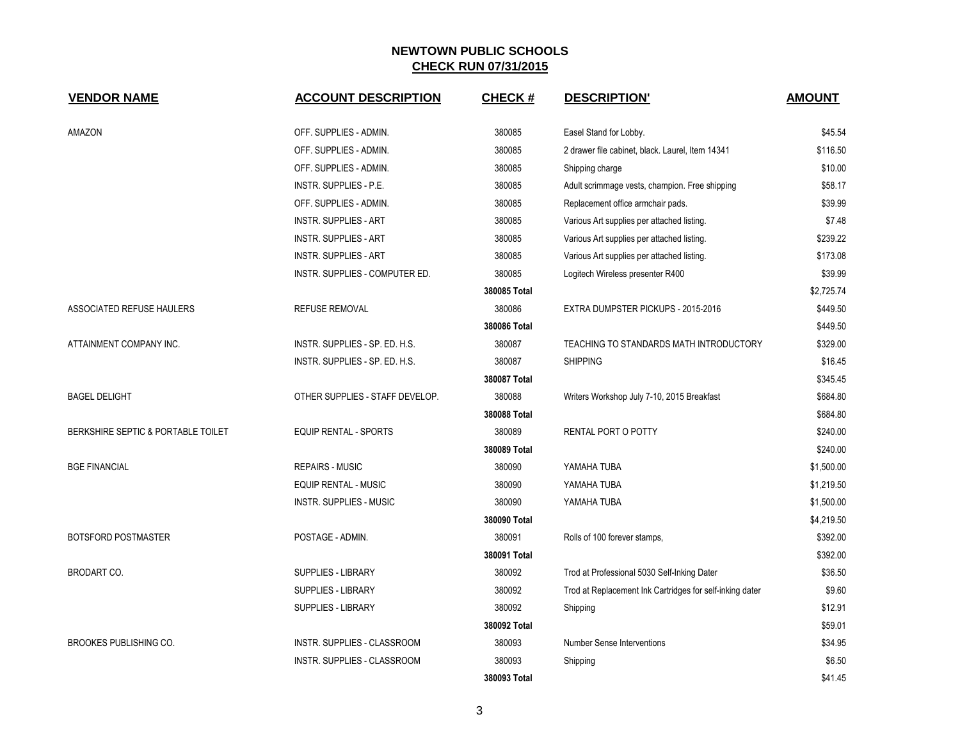| <b>VENDOR NAME</b>                 | <b>ACCOUNT DESCRIPTION</b>         | <b>CHECK#</b> | <b>DESCRIPTION'</b>                                      | <b>AMOUNT</b> |
|------------------------------------|------------------------------------|---------------|----------------------------------------------------------|---------------|
| AMAZON                             | OFF. SUPPLIES - ADMIN.             | 380085        | Easel Stand for Lobby.                                   | \$45.54       |
|                                    | OFF. SUPPLIES - ADMIN.             | 380085        | 2 drawer file cabinet, black. Laurel, Item 14341         | \$116.50      |
|                                    | OFF. SUPPLIES - ADMIN.             | 380085        | Shipping charge                                          | \$10.00       |
|                                    | INSTR. SUPPLIES - P.E.             | 380085        | Adult scrimmage vests, champion. Free shipping           | \$58.17       |
|                                    | OFF. SUPPLIES - ADMIN.             | 380085        | Replacement office armchair pads.                        | \$39.99       |
|                                    | <b>INSTR. SUPPLIES - ART</b>       | 380085        | Various Art supplies per attached listing.               | \$7.48        |
|                                    | <b>INSTR. SUPPLIES - ART</b>       | 380085        | Various Art supplies per attached listing.               | \$239.22      |
|                                    | <b>INSTR. SUPPLIES - ART</b>       | 380085        | Various Art supplies per attached listing.               | \$173.08      |
|                                    | INSTR. SUPPLIES - COMPUTER ED.     | 380085        | Logitech Wireless presenter R400                         | \$39.99       |
|                                    |                                    | 380085 Total  |                                                          | \$2,725.74    |
| ASSOCIATED REFUSE HAULERS          | <b>REFUSE REMOVAL</b>              | 380086        | EXTRA DUMPSTER PICKUPS - 2015-2016                       | \$449.50      |
|                                    |                                    | 380086 Total  |                                                          | \$449.50      |
| ATTAINMENT COMPANY INC.            | INSTR. SUPPLIES - SP. ED. H.S.     | 380087        | TEACHING TO STANDARDS MATH INTRODUCTORY                  | \$329.00      |
|                                    | INSTR. SUPPLIES - SP. ED. H.S.     | 380087        | <b>SHIPPING</b>                                          | \$16.45       |
|                                    |                                    | 380087 Total  |                                                          | \$345.45      |
| <b>BAGEL DELIGHT</b>               | OTHER SUPPLIES - STAFF DEVELOP.    | 380088        | Writers Workshop July 7-10, 2015 Breakfast               | \$684.80      |
|                                    |                                    | 380088 Total  |                                                          | \$684.80      |
| BERKSHIRE SEPTIC & PORTABLE TOILET | EQUIP RENTAL - SPORTS              | 380089        | RENTAL PORT O POTTY                                      | \$240.00      |
|                                    |                                    | 380089 Total  |                                                          | \$240.00      |
| <b>BGE FINANCIAL</b>               | <b>REPAIRS - MUSIC</b>             | 380090        | YAMAHA TUBA                                              | \$1,500.00    |
|                                    | <b>EQUIP RENTAL - MUSIC</b>        | 380090        | YAMAHA TUBA                                              | \$1,219.50    |
|                                    | <b>INSTR. SUPPLIES - MUSIC</b>     | 380090        | YAMAHA TUBA                                              | \$1,500.00    |
|                                    |                                    | 380090 Total  |                                                          | \$4,219.50    |
| BOTSFORD POSTMASTER                | POSTAGE - ADMIN.                   | 380091        | Rolls of 100 forever stamps,                             | \$392.00      |
|                                    |                                    | 380091 Total  |                                                          | \$392.00      |
| <b>BRODART CO.</b>                 | SUPPLIES - LIBRARY                 | 380092        | Trod at Professional 5030 Self-Inking Dater              | \$36.50       |
|                                    | SUPPLIES - LIBRARY                 | 380092        | Trod at Replacement Ink Cartridges for self-inking dater | \$9.60        |
|                                    | SUPPLIES - LIBRARY                 | 380092        | Shipping                                                 | \$12.91       |
|                                    |                                    | 380092 Total  |                                                          | \$59.01       |
| BROOKES PUBLISHING CO.             | INSTR. SUPPLIES - CLASSROOM        | 380093        | <b>Number Sense Interventions</b>                        | \$34.95       |
|                                    | <b>INSTR. SUPPLIES - CLASSROOM</b> | 380093        | Shipping                                                 | \$6.50        |
|                                    |                                    | 380093 Total  |                                                          | \$41.45       |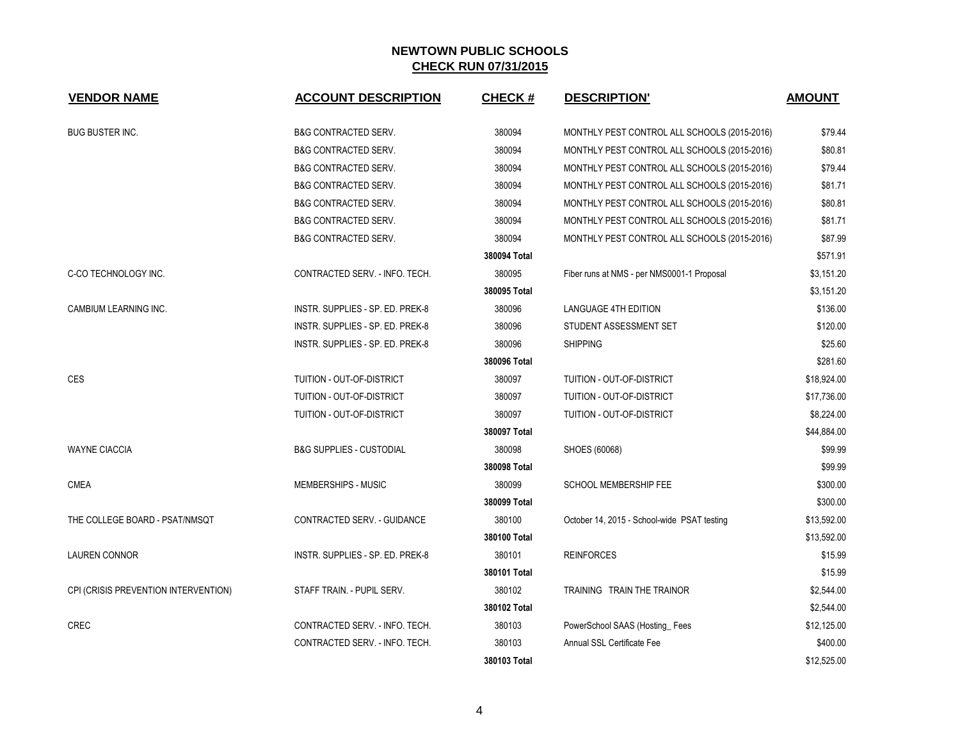| <b>VENDOR NAME</b>                   | <b>ACCOUNT DESCRIPTION</b>          | <b>CHECK#</b> | <b>DESCRIPTION'</b>                          | <b>AMOUNT</b> |
|--------------------------------------|-------------------------------------|---------------|----------------------------------------------|---------------|
| <b>BUG BUSTER INC.</b>               | <b>B&amp;G CONTRACTED SERV.</b>     | 380094        | MONTHLY PEST CONTROL ALL SCHOOLS (2015-2016) | \$79.44       |
|                                      | <b>B&amp;G CONTRACTED SERV.</b>     | 380094        | MONTHLY PEST CONTROL ALL SCHOOLS (2015-2016) | \$80.81       |
|                                      | <b>B&amp;G CONTRACTED SERV.</b>     | 380094        | MONTHLY PEST CONTROL ALL SCHOOLS (2015-2016) | \$79.44       |
|                                      | <b>B&amp;G CONTRACTED SERV.</b>     | 380094        | MONTHLY PEST CONTROL ALL SCHOOLS (2015-2016) | \$81.71       |
|                                      | <b>B&amp;G CONTRACTED SERV.</b>     | 380094        | MONTHLY PEST CONTROL ALL SCHOOLS (2015-2016) | \$80.81       |
|                                      | <b>B&amp;G CONTRACTED SERV.</b>     | 380094        | MONTHLY PEST CONTROL ALL SCHOOLS (2015-2016) | \$81.71       |
|                                      | <b>B&amp;G CONTRACTED SERV.</b>     | 380094        | MONTHLY PEST CONTROL ALL SCHOOLS (2015-2016) | \$87.99       |
|                                      |                                     | 380094 Total  |                                              | \$571.91      |
| C-CO TECHNOLOGY INC.                 | CONTRACTED SERV. - INFO. TECH.      | 380095        | Fiber runs at NMS - per NMS0001-1 Proposal   | \$3,151.20    |
|                                      |                                     | 380095 Total  |                                              | \$3,151.20    |
| CAMBIUM LEARNING INC.                | INSTR. SUPPLIES - SP. ED. PREK-8    | 380096        | <b>LANGUAGE 4TH EDITION</b>                  | \$136.00      |
|                                      | INSTR. SUPPLIES - SP. ED. PREK-8    | 380096        | STUDENT ASSESSMENT SET                       | \$120.00      |
|                                      | INSTR. SUPPLIES - SP. ED. PREK-8    | 380096        | <b>SHIPPING</b>                              | \$25.60       |
|                                      |                                     | 380096 Total  |                                              | \$281.60      |
| CES                                  | TUITION - OUT-OF-DISTRICT           | 380097        | TUITION - OUT-OF-DISTRICT                    | \$18,924.00   |
|                                      | TUITION - OUT-OF-DISTRICT           | 380097        | TUITION - OUT-OF-DISTRICT                    | \$17,736.00   |
|                                      | TUITION - OUT-OF-DISTRICT           | 380097        | TUITION - OUT-OF-DISTRICT                    | \$8,224.00    |
|                                      |                                     | 380097 Total  |                                              | \$44,884.00   |
| <b>WAYNE CIACCIA</b>                 | <b>B&amp;G SUPPLIES - CUSTODIAL</b> | 380098        | SHOES (60068)                                | \$99.99       |
|                                      |                                     | 380098 Total  |                                              | \$99.99       |
| CMEA                                 | <b>MEMBERSHIPS - MUSIC</b>          | 380099        | <b>SCHOOL MEMBERSHIP FEE</b>                 | \$300.00      |
|                                      |                                     | 380099 Total  |                                              | \$300.00      |
| THE COLLEGE BOARD - PSAT/NMSQT       | CONTRACTED SERV. - GUIDANCE         | 380100        | October 14, 2015 - School-wide PSAT testing  | \$13,592.00   |
|                                      |                                     | 380100 Total  |                                              | \$13,592.00   |
| <b>LAUREN CONNOR</b>                 | INSTR. SUPPLIES - SP. ED. PREK-8    | 380101        | <b>REINFORCES</b>                            | \$15.99       |
|                                      |                                     | 380101 Total  |                                              | \$15.99       |
| CPI (CRISIS PREVENTION INTERVENTION) | STAFF TRAIN. - PUPIL SERV.          | 380102        | TRAINING TRAIN THE TRAINOR                   | \$2,544.00    |
|                                      |                                     | 380102 Total  |                                              | \$2,544.00    |
| CREC                                 | CONTRACTED SERV. - INFO. TECH.      | 380103        | PowerSchool SAAS (Hosting_Fees               | \$12,125.00   |
|                                      | CONTRACTED SERV. - INFO. TECH.      | 380103        | Annual SSL Certificate Fee                   | \$400.00      |
|                                      |                                     | 380103 Total  |                                              | \$12,525.00   |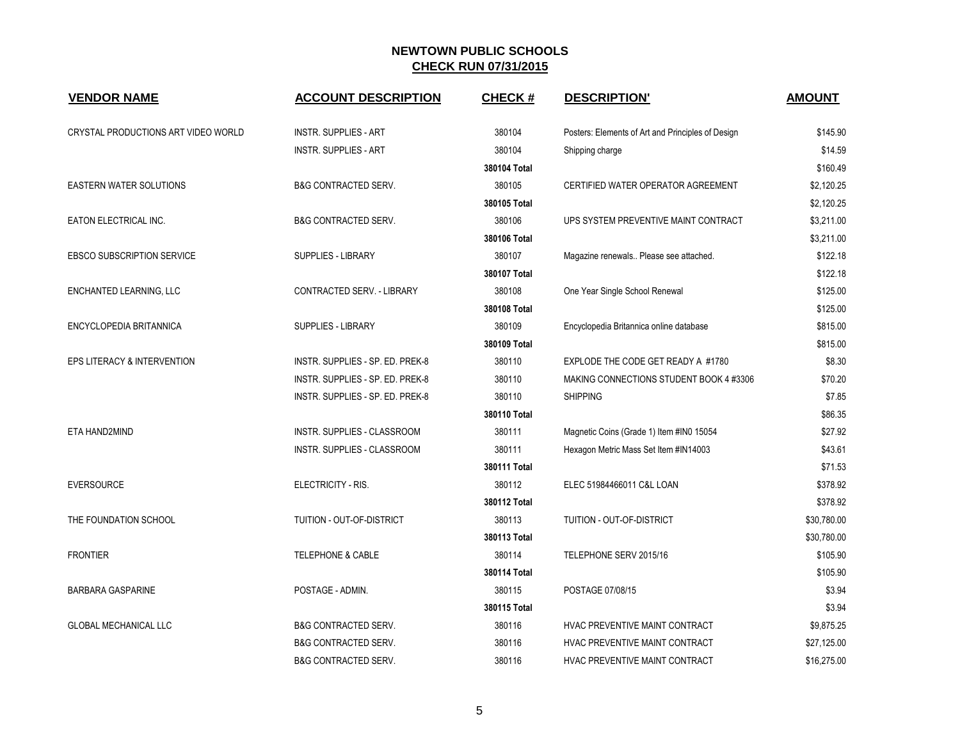| <b>VENDOR NAME</b>                  | <b>ACCOUNT DESCRIPTION</b>       | <b>CHECK#</b> | <b>DESCRIPTION'</b>                               | <b>AMOUNT</b> |
|-------------------------------------|----------------------------------|---------------|---------------------------------------------------|---------------|
| CRYSTAL PRODUCTIONS ART VIDEO WORLD | <b>INSTR. SUPPLIES - ART</b>     | 380104        | Posters: Elements of Art and Principles of Design | \$145.90      |
|                                     | <b>INSTR. SUPPLIES - ART</b>     | 380104        | Shipping charge                                   | \$14.59       |
|                                     |                                  | 380104 Total  |                                                   | \$160.49      |
| <b>EASTERN WATER SOLUTIONS</b>      | <b>B&amp;G CONTRACTED SERV.</b>  | 380105        | CERTIFIED WATER OPERATOR AGREEMENT                | \$2,120.25    |
|                                     |                                  | 380105 Total  |                                                   | \$2,120.25    |
| EATON ELECTRICAL INC.               | <b>B&amp;G CONTRACTED SERV.</b>  | 380106        | UPS SYSTEM PREVENTIVE MAINT CONTRACT              | \$3,211.00    |
|                                     |                                  | 380106 Total  |                                                   | \$3,211.00    |
| <b>EBSCO SUBSCRIPTION SERVICE</b>   | <b>SUPPLIES - LIBRARY</b>        | 380107        | Magazine renewals Please see attached.            | \$122.18      |
|                                     |                                  | 380107 Total  |                                                   | \$122.18      |
| ENCHANTED LEARNING, LLC             | CONTRACTED SERV. - LIBRARY       | 380108        | One Year Single School Renewal                    | \$125.00      |
|                                     |                                  | 380108 Total  |                                                   | \$125.00      |
| ENCYCLOPEDIA BRITANNICA             | <b>SUPPLIES - LIBRARY</b>        | 380109        | Encyclopedia Britannica online database           | \$815.00      |
|                                     |                                  | 380109 Total  |                                                   | \$815.00      |
| EPS LITERACY & INTERVENTION         | INSTR. SUPPLIES - SP. ED. PREK-8 | 380110        | EXPLODE THE CODE GET READY A #1780                | \$8.30        |
|                                     | INSTR. SUPPLIES - SP. ED. PREK-8 | 380110        | MAKING CONNECTIONS STUDENT BOOK 4 #3306           | \$70.20       |
|                                     | INSTR. SUPPLIES - SP. ED. PREK-8 | 380110        | <b>SHIPPING</b>                                   | \$7.85        |
|                                     |                                  | 380110 Total  |                                                   | \$86.35       |
| ETA HAND2MIND                       | INSTR. SUPPLIES - CLASSROOM      | 380111        | Magnetic Coins (Grade 1) Item #IN0 15054          | \$27.92       |
|                                     | INSTR. SUPPLIES - CLASSROOM      | 380111        | Hexagon Metric Mass Set Item #IN14003             | \$43.61       |
|                                     |                                  | 380111 Total  |                                                   | \$71.53       |
| <b>EVERSOURCE</b>                   | ELECTRICITY - RIS.               | 380112        | ELEC 51984466011 C&L LOAN                         | \$378.92      |
|                                     |                                  | 380112 Total  |                                                   | \$378.92      |
| THE FOUNDATION SCHOOL               | TUITION - OUT-OF-DISTRICT        | 380113        | TUITION - OUT-OF-DISTRICT                         | \$30,780.00   |
|                                     |                                  | 380113 Total  |                                                   | \$30,780.00   |
| <b>FRONTIER</b>                     | <b>TELEPHONE &amp; CABLE</b>     | 380114        | TELEPHONE SERV 2015/16                            | \$105.90      |
|                                     |                                  | 380114 Total  |                                                   | \$105.90      |
| <b>BARBARA GASPARINE</b>            | POSTAGE - ADMIN.                 | 380115        | POSTAGE 07/08/15                                  | \$3.94        |
|                                     |                                  | 380115 Total  |                                                   | \$3.94        |
| <b>GLOBAL MECHANICAL LLC</b>        | <b>B&amp;G CONTRACTED SERV.</b>  | 380116        | HVAC PREVENTIVE MAINT CONTRACT                    | \$9,875.25    |
|                                     | <b>B&amp;G CONTRACTED SERV.</b>  | 380116        | HVAC PREVENTIVE MAINT CONTRACT                    | \$27,125.00   |
|                                     | B&G CONTRACTED SERV.             | 380116        | HVAC PREVENTIVE MAINT CONTRACT                    | \$16,275.00   |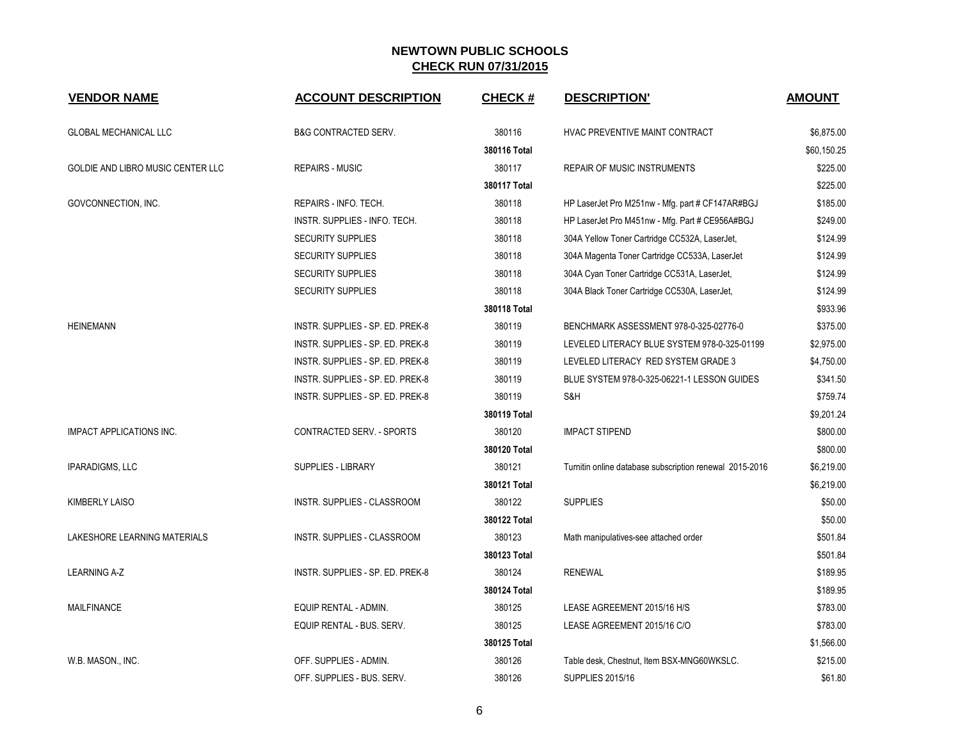| <b>VENDOR NAME</b>                | <b>ACCOUNT DESCRIPTION</b>       | <b>CHECK#</b> | <b>DESCRIPTION'</b>                                     | <b>AMOUNT</b> |
|-----------------------------------|----------------------------------|---------------|---------------------------------------------------------|---------------|
| <b>GLOBAL MECHANICAL LLC</b>      | <b>B&amp;G CONTRACTED SERV.</b>  | 380116        | HVAC PREVENTIVE MAINT CONTRACT                          | \$6,875.00    |
|                                   |                                  | 380116 Total  |                                                         | \$60,150.25   |
| GOLDIE AND LIBRO MUSIC CENTER LLC | <b>REPAIRS - MUSIC</b>           | 380117        | <b>REPAIR OF MUSIC INSTRUMENTS</b>                      | \$225.00      |
|                                   |                                  | 380117 Total  |                                                         | \$225.00      |
| GOVCONNECTION, INC.               | REPAIRS - INFO. TECH.            | 380118        | HP LaserJet Pro M251nw - Mfg. part # CF147AR#BGJ        | \$185.00      |
|                                   | INSTR. SUPPLIES - INFO. TECH.    | 380118        | HP LaserJet Pro M451nw - Mfg. Part # CE956A#BGJ         | \$249.00      |
|                                   | <b>SECURITY SUPPLIES</b>         | 380118        | 304A Yellow Toner Cartridge CC532A, LaserJet,           | \$124.99      |
|                                   | <b>SECURITY SUPPLIES</b>         | 380118        | 304A Magenta Toner Cartridge CC533A, LaserJet           | \$124.99      |
|                                   | <b>SECURITY SUPPLIES</b>         | 380118        | 304A Cyan Toner Cartridge CC531A, LaserJet,             | \$124.99      |
|                                   | <b>SECURITY SUPPLIES</b>         | 380118        | 304A Black Toner Cartridge CC530A, LaserJet,            | \$124.99      |
|                                   |                                  | 380118 Total  |                                                         | \$933.96      |
| <b>HEINEMANN</b>                  | INSTR. SUPPLIES - SP. ED. PREK-8 | 380119        | BENCHMARK ASSESSMENT 978-0-325-02776-0                  | \$375.00      |
|                                   | INSTR. SUPPLIES - SP. ED. PREK-8 | 380119        | LEVELED LITERACY BLUE SYSTEM 978-0-325-01199            | \$2,975.00    |
|                                   | INSTR. SUPPLIES - SP. ED. PREK-8 | 380119        | LEVELED LITERACY RED SYSTEM GRADE 3                     | \$4,750.00    |
|                                   | INSTR. SUPPLIES - SP. ED. PREK-8 | 380119        | BLUE SYSTEM 978-0-325-06221-1 LESSON GUIDES             | \$341.50      |
|                                   | INSTR. SUPPLIES - SP. ED. PREK-8 | 380119        | S&H                                                     | \$759.74      |
|                                   |                                  | 380119 Total  |                                                         | \$9,201.24    |
| <b>IMPACT APPLICATIONS INC.</b>   | CONTRACTED SERV. - SPORTS        | 380120        | <b>IMPACT STIPEND</b>                                   | \$800.00      |
|                                   |                                  | 380120 Total  |                                                         | \$800.00      |
| <b>IPARADIGMS, LLC</b>            | <b>SUPPLIES - LIBRARY</b>        | 380121        | Turnitin online database subscription renewal 2015-2016 | \$6,219.00    |
|                                   |                                  | 380121 Total  |                                                         | \$6,219.00    |
| KIMBERLY LAISO                    | INSTR. SUPPLIES - CLASSROOM      | 380122        | <b>SUPPLIES</b>                                         | \$50.00       |
|                                   |                                  | 380122 Total  |                                                         | \$50.00       |
| LAKESHORE LEARNING MATERIALS      | INSTR. SUPPLIES - CLASSROOM      | 380123        | Math manipulatives-see attached order                   | \$501.84      |
|                                   |                                  | 380123 Total  |                                                         | \$501.84      |
| <b>LEARNING A-Z</b>               | INSTR. SUPPLIES - SP. ED. PREK-8 | 380124        | <b>RENEWAL</b>                                          | \$189.95      |
|                                   |                                  | 380124 Total  |                                                         | \$189.95      |
| <b>MAILFINANCE</b>                | EQUIP RENTAL - ADMIN.            | 380125        | LEASE AGREEMENT 2015/16 H/S                             | \$783.00      |
|                                   | EQUIP RENTAL - BUS. SERV.        | 380125        | LEASE AGREEMENT 2015/16 C/O                             | \$783.00      |
|                                   |                                  | 380125 Total  |                                                         | \$1,566.00    |
| W.B. MASON., INC.                 | OFF. SUPPLIES - ADMIN.           | 380126        | Table desk, Chestnut, Item BSX-MNG60WKSLC.              | \$215.00      |
|                                   | OFF. SUPPLIES - BUS. SERV.       | 380126        | <b>SUPPLIES 2015/16</b>                                 | \$61.80       |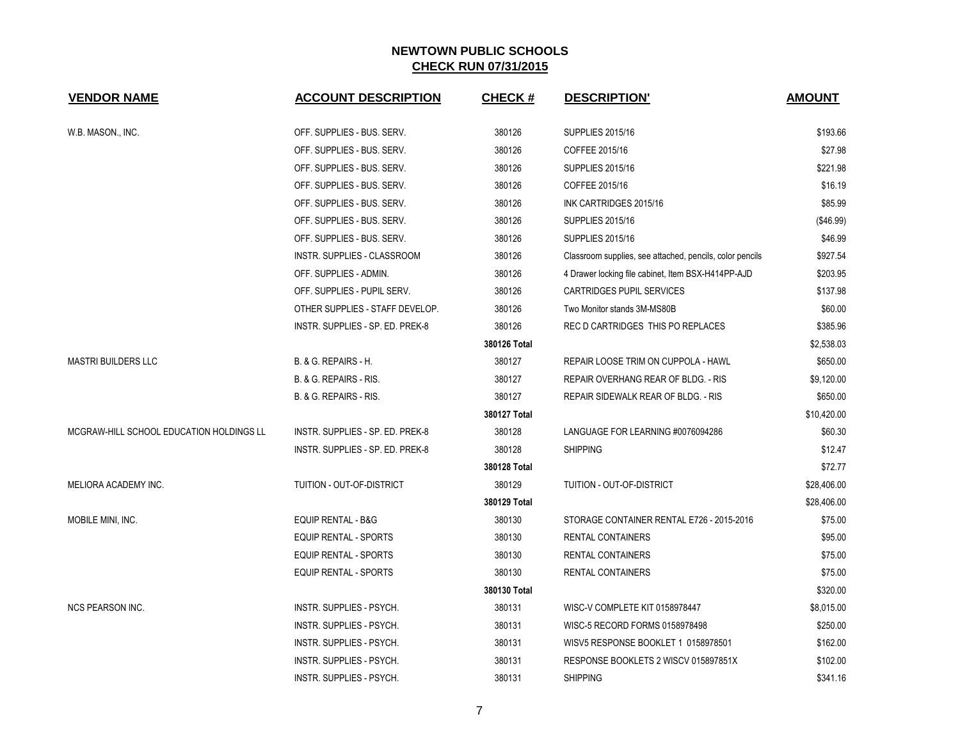| <b>VENDOR NAME</b>                       | <b>ACCOUNT DESCRIPTION</b>       | <b>CHECK#</b> | <b>DESCRIPTION'</b>                                      | <b>AMOUNT</b> |
|------------------------------------------|----------------------------------|---------------|----------------------------------------------------------|---------------|
| W.B. MASON., INC.                        | OFF. SUPPLIES - BUS. SERV.       | 380126        | <b>SUPPLIES 2015/16</b>                                  | \$193.66      |
|                                          | OFF. SUPPLIES - BUS. SERV.       | 380126        | COFFEE 2015/16                                           | \$27.98       |
|                                          | OFF. SUPPLIES - BUS. SERV.       | 380126        | <b>SUPPLIES 2015/16</b>                                  | \$221.98      |
|                                          | OFF. SUPPLIES - BUS. SERV.       | 380126        | COFFEE 2015/16                                           | \$16.19       |
|                                          | OFF. SUPPLIES - BUS. SERV.       | 380126        | INK CARTRIDGES 2015/16                                   | \$85.99       |
|                                          | OFF. SUPPLIES - BUS. SERV.       | 380126        | <b>SUPPLIES 2015/16</b>                                  | (\$46.99)     |
|                                          | OFF. SUPPLIES - BUS. SERV.       | 380126        | <b>SUPPLIES 2015/16</b>                                  | \$46.99       |
|                                          | INSTR. SUPPLIES - CLASSROOM      | 380126        | Classroom supplies, see attached, pencils, color pencils | \$927.54      |
|                                          | OFF. SUPPLIES - ADMIN.           | 380126        | 4 Drawer locking file cabinet, Item BSX-H414PP-AJD       | \$203.95      |
|                                          | OFF. SUPPLIES - PUPIL SERV.      | 380126        | CARTRIDGES PUPIL SERVICES                                | \$137.98      |
|                                          | OTHER SUPPLIES - STAFF DEVELOP.  | 380126        | Two Monitor stands 3M-MS80B                              | \$60.00       |
|                                          | INSTR. SUPPLIES - SP. ED. PREK-8 | 380126        | REC D CARTRIDGES THIS PO REPLACES                        | \$385.96      |
|                                          |                                  | 380126 Total  |                                                          | \$2,538.03    |
| <b>MASTRI BUILDERS LLC</b>               | B. & G. REPAIRS - H.             | 380127        | REPAIR LOOSE TRIM ON CUPPOLA - HAWL                      | \$650.00      |
|                                          | B. & G. REPAIRS - RIS.           | 380127        | REPAIR OVERHANG REAR OF BLDG. - RIS                      | \$9,120.00    |
|                                          | B. & G. REPAIRS - RIS.           | 380127        | REPAIR SIDEWALK REAR OF BLDG. - RIS                      | \$650.00      |
|                                          |                                  | 380127 Total  |                                                          | \$10,420.00   |
| MCGRAW-HILL SCHOOL EDUCATION HOLDINGS LL | INSTR. SUPPLIES - SP. ED. PREK-8 | 380128        | LANGUAGE FOR LEARNING #0076094286                        | \$60.30       |
|                                          | INSTR. SUPPLIES - SP. ED. PREK-8 | 380128        | <b>SHIPPING</b>                                          | \$12.47       |
|                                          |                                  | 380128 Total  |                                                          | \$72.77       |
| MELIORA ACADEMY INC.                     | TUITION - OUT-OF-DISTRICT        | 380129        | <b>TUITION - OUT-OF-DISTRICT</b>                         | \$28,406.00   |
|                                          |                                  | 380129 Total  |                                                          | \$28,406.00   |
| MOBILE MINI, INC.                        | <b>EQUIP RENTAL - B&amp;G</b>    | 380130        | STORAGE CONTAINER RENTAL E726 - 2015-2016                | \$75.00       |
|                                          | <b>EQUIP RENTAL - SPORTS</b>     | 380130        | <b>RENTAL CONTAINERS</b>                                 | \$95.00       |
|                                          | <b>EQUIP RENTAL - SPORTS</b>     | 380130        | <b>RENTAL CONTAINERS</b>                                 | \$75.00       |
|                                          | EQUIP RENTAL - SPORTS            | 380130        | <b>RENTAL CONTAINERS</b>                                 | \$75.00       |
|                                          |                                  | 380130 Total  |                                                          | \$320.00      |
| <b>NCS PEARSON INC.</b>                  | INSTR. SUPPLIES - PSYCH.         | 380131        | WISC-V COMPLETE KIT 0158978447                           | \$8,015.00    |
|                                          | INSTR. SUPPLIES - PSYCH.         | 380131        | WISC-5 RECORD FORMS 0158978498                           | \$250.00      |
|                                          | INSTR. SUPPLIES - PSYCH.         | 380131        | WISV5 RESPONSE BOOKLET 1 0158978501                      | \$162.00      |
|                                          | <b>INSTR. SUPPLIES - PSYCH.</b>  | 380131        | RESPONSE BOOKLETS 2 WISCV 015897851X                     | \$102.00      |
|                                          | INSTR. SUPPLIES - PSYCH.         | 380131        | <b>SHIPPING</b>                                          | \$341.16      |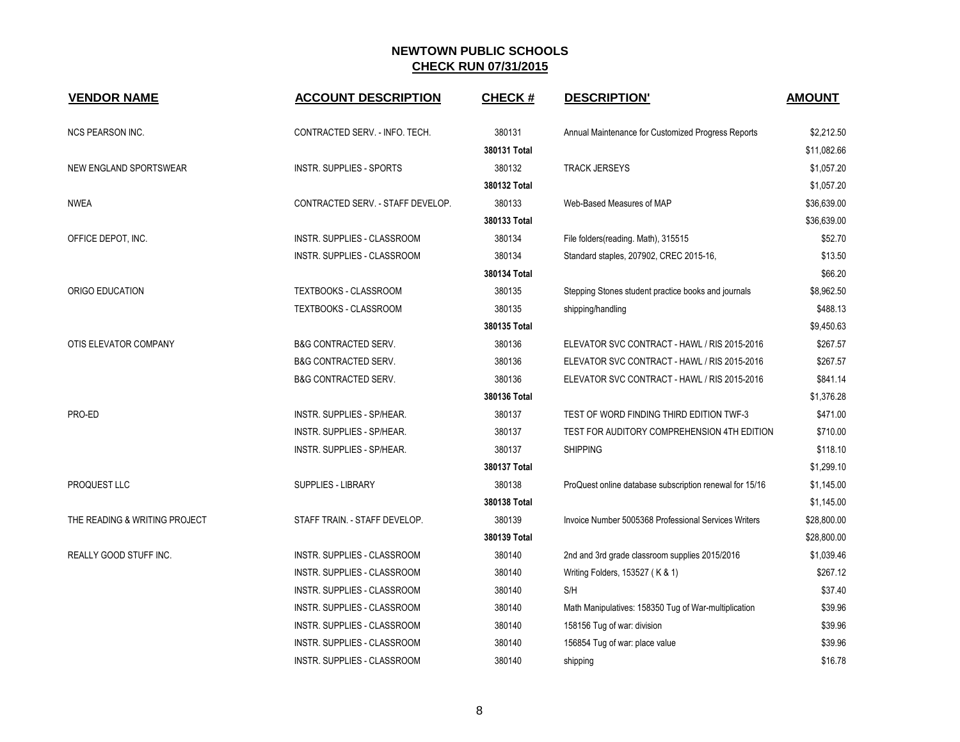| <b>VENDOR NAME</b>            | <b>ACCOUNT DESCRIPTION</b>        | <b>CHECK#</b> | <b>DESCRIPTION'</b>                                     | <b>AMOUNT</b> |
|-------------------------------|-----------------------------------|---------------|---------------------------------------------------------|---------------|
| <b>NCS PEARSON INC.</b>       | CONTRACTED SERV. - INFO. TECH.    | 380131        | Annual Maintenance for Customized Progress Reports      | \$2,212.50    |
|                               |                                   | 380131 Total  |                                                         | \$11,082.66   |
| NEW ENGLAND SPORTSWEAR        | <b>INSTR. SUPPLIES - SPORTS</b>   | 380132        | <b>TRACK JERSEYS</b>                                    | \$1,057.20    |
|                               |                                   | 380132 Total  |                                                         | \$1,057.20    |
| <b>NWEA</b>                   | CONTRACTED SERV. - STAFF DEVELOP. | 380133        | Web-Based Measures of MAP                               | \$36,639.00   |
|                               |                                   | 380133 Total  |                                                         | \$36,639.00   |
| OFFICE DEPOT, INC.            | INSTR. SUPPLIES - CLASSROOM       | 380134        | File folders(reading. Math), 315515                     | \$52.70       |
|                               | INSTR. SUPPLIES - CLASSROOM       | 380134        | Standard staples, 207902, CREC 2015-16,                 | \$13.50       |
|                               |                                   | 380134 Total  |                                                         | \$66.20       |
| ORIGO EDUCATION               | TEXTBOOKS - CLASSROOM             | 380135        | Stepping Stones student practice books and journals     | \$8,962.50    |
|                               | <b>TEXTBOOKS - CLASSROOM</b>      | 380135        | shipping/handling                                       | \$488.13      |
|                               |                                   | 380135 Total  |                                                         | \$9,450.63    |
| OTIS ELEVATOR COMPANY         | <b>B&amp;G CONTRACTED SERV.</b>   | 380136        | ELEVATOR SVC CONTRACT - HAWL / RIS 2015-2016            | \$267.57      |
|                               | <b>B&amp;G CONTRACTED SERV.</b>   | 380136        | ELEVATOR SVC CONTRACT - HAWL / RIS 2015-2016            | \$267.57      |
|                               | <b>B&amp;G CONTRACTED SERV.</b>   | 380136        | ELEVATOR SVC CONTRACT - HAWL / RIS 2015-2016            | \$841.14      |
|                               |                                   | 380136 Total  |                                                         | \$1,376.28    |
| PRO-ED                        | INSTR. SUPPLIES - SP/HEAR.        | 380137        | TEST OF WORD FINDING THIRD EDITION TWF-3                | \$471.00      |
|                               | INSTR. SUPPLIES - SP/HEAR.        | 380137        | TEST FOR AUDITORY COMPREHENSION 4TH EDITION             | \$710.00      |
|                               | INSTR. SUPPLIES - SP/HEAR.        | 380137        | <b>SHIPPING</b>                                         | \$118.10      |
|                               |                                   | 380137 Total  |                                                         | \$1,299.10    |
| PROQUEST LLC                  | <b>SUPPLIES - LIBRARY</b>         | 380138        | ProQuest online database subscription renewal for 15/16 | \$1,145.00    |
|                               |                                   | 380138 Total  |                                                         | \$1,145.00    |
| THE READING & WRITING PROJECT | STAFF TRAIN. - STAFF DEVELOP.     | 380139        | Invoice Number 5005368 Professional Services Writers    | \$28,800.00   |
|                               |                                   | 380139 Total  |                                                         | \$28,800.00   |
| REALLY GOOD STUFF INC.        | INSTR. SUPPLIES - CLASSROOM       | 380140        | 2nd and 3rd grade classroom supplies 2015/2016          | \$1,039.46    |
|                               | INSTR. SUPPLIES - CLASSROOM       | 380140        | Writing Folders, 153527 (K & 1)                         | \$267.12      |
|                               | INSTR. SUPPLIES - CLASSROOM       | 380140        | S/H                                                     | \$37.40       |
|                               | INSTR. SUPPLIES - CLASSROOM       | 380140        | Math Manipulatives: 158350 Tug of War-multiplication    | \$39.96       |
|                               | INSTR. SUPPLIES - CLASSROOM       | 380140        | 158156 Tug of war: division                             | \$39.96       |
|                               | INSTR. SUPPLIES - CLASSROOM       | 380140        | 156854 Tug of war: place value                          | \$39.96       |
|                               | INSTR. SUPPLIES - CLASSROOM       | 380140        | shipping                                                | \$16.78       |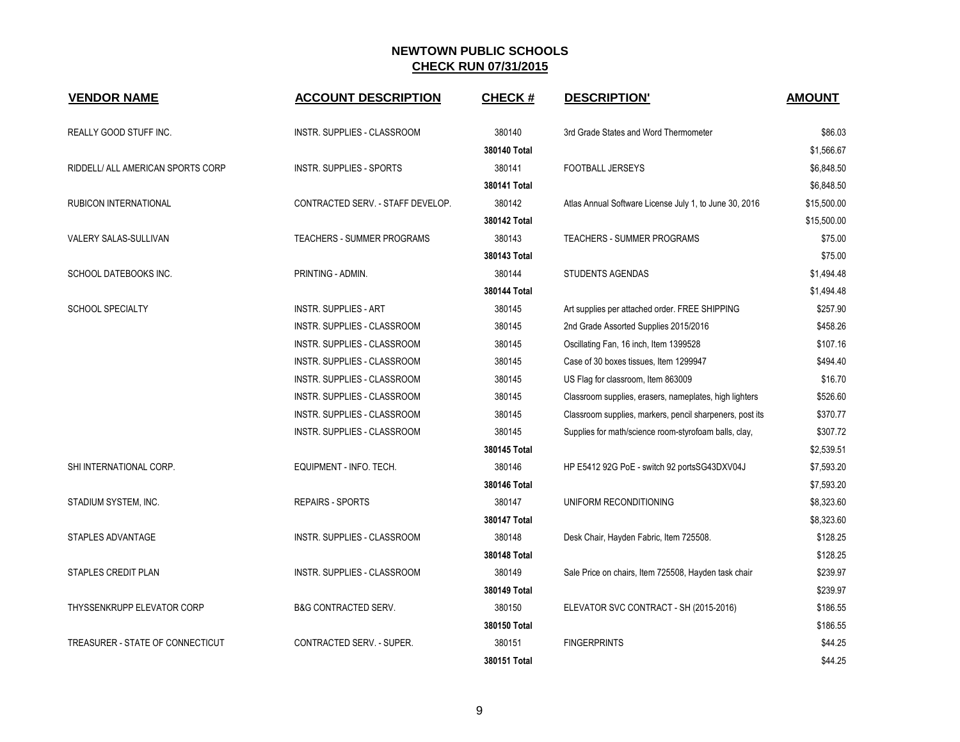| <b>VENDOR NAME</b>                | <b>ACCOUNT DESCRIPTION</b>         | <b>CHECK#</b> | <b>DESCRIPTION'</b>                                      | <b>AMOUNT</b> |
|-----------------------------------|------------------------------------|---------------|----------------------------------------------------------|---------------|
| REALLY GOOD STUFF INC.            | INSTR. SUPPLIES - CLASSROOM        | 380140        | 3rd Grade States and Word Thermometer                    | \$86.03       |
|                                   |                                    | 380140 Total  |                                                          | \$1,566.67    |
| RIDDELL/ ALL AMERICAN SPORTS CORP | <b>INSTR. SUPPLIES - SPORTS</b>    | 380141        | FOOTBALL JERSEYS                                         | \$6,848.50    |
|                                   |                                    | 380141 Total  |                                                          | \$6,848.50    |
| RUBICON INTERNATIONAL             | CONTRACTED SERV. - STAFF DEVELOP.  | 380142        | Atlas Annual Software License July 1, to June 30, 2016   | \$15,500.00   |
|                                   |                                    | 380142 Total  |                                                          | \$15,500.00   |
| VALERY SALAS-SULLIVAN             | TEACHERS - SUMMER PROGRAMS         | 380143        | TEACHERS - SUMMER PROGRAMS                               | \$75.00       |
|                                   |                                    | 380143 Total  |                                                          | \$75.00       |
| SCHOOL DATEBOOKS INC.             | PRINTING - ADMIN.                  | 380144        | <b>STUDENTS AGENDAS</b>                                  | \$1,494.48    |
|                                   |                                    | 380144 Total  |                                                          | \$1,494.48    |
| <b>SCHOOL SPECIALTY</b>           | <b>INSTR. SUPPLIES - ART</b>       | 380145        | Art supplies per attached order. FREE SHIPPING           | \$257.90      |
|                                   | INSTR. SUPPLIES - CLASSROOM        | 380145        | 2nd Grade Assorted Supplies 2015/2016                    | \$458.26      |
|                                   | INSTR. SUPPLIES - CLASSROOM        | 380145        | Oscillating Fan, 16 inch, Item 1399528                   | \$107.16      |
|                                   | INSTR. SUPPLIES - CLASSROOM        | 380145        | Case of 30 boxes tissues, Item 1299947                   | \$494.40      |
|                                   | INSTR. SUPPLIES - CLASSROOM        | 380145        | US Flag for classroom, Item 863009                       | \$16.70       |
|                                   | INSTR. SUPPLIES - CLASSROOM        | 380145        | Classroom supplies, erasers, nameplates, high lighters   | \$526.60      |
|                                   | INSTR. SUPPLIES - CLASSROOM        | 380145        | Classroom supplies, markers, pencil sharpeners, post its | \$370.77      |
|                                   | <b>INSTR. SUPPLIES - CLASSROOM</b> | 380145        | Supplies for math/science room-styrofoam balls, clay,    | \$307.72      |
|                                   |                                    | 380145 Total  |                                                          | \$2,539.51    |
| SHI INTERNATIONAL CORP.           | EQUIPMENT - INFO. TECH.            | 380146        | HP E5412 92G PoE - switch 92 portsSG43DXV04J             | \$7,593.20    |
|                                   |                                    | 380146 Total  |                                                          | \$7,593.20    |
| STADIUM SYSTEM, INC.              | <b>REPAIRS - SPORTS</b>            | 380147        | UNIFORM RECONDITIONING                                   | \$8,323.60    |
|                                   |                                    | 380147 Total  |                                                          | \$8,323.60    |
| STAPLES ADVANTAGE                 | INSTR. SUPPLIES - CLASSROOM        | 380148        | Desk Chair, Hayden Fabric, Item 725508.                  | \$128.25      |
|                                   |                                    | 380148 Total  |                                                          | \$128.25      |
| STAPLES CREDIT PLAN               | <b>INSTR. SUPPLIES - CLASSROOM</b> | 380149        | Sale Price on chairs, Item 725508, Hayden task chair     | \$239.97      |
|                                   |                                    | 380149 Total  |                                                          | \$239.97      |
| THYSSENKRUPP ELEVATOR CORP        | <b>B&amp;G CONTRACTED SERV.</b>    | 380150        | ELEVATOR SVC CONTRACT - SH (2015-2016)                   | \$186.55      |
|                                   |                                    | 380150 Total  |                                                          | \$186.55      |
| TREASURER - STATE OF CONNECTICUT  | CONTRACTED SERV. - SUPER.          | 380151        | <b>FINGERPRINTS</b>                                      | \$44.25       |
|                                   |                                    | 380151 Total  |                                                          | \$44.25       |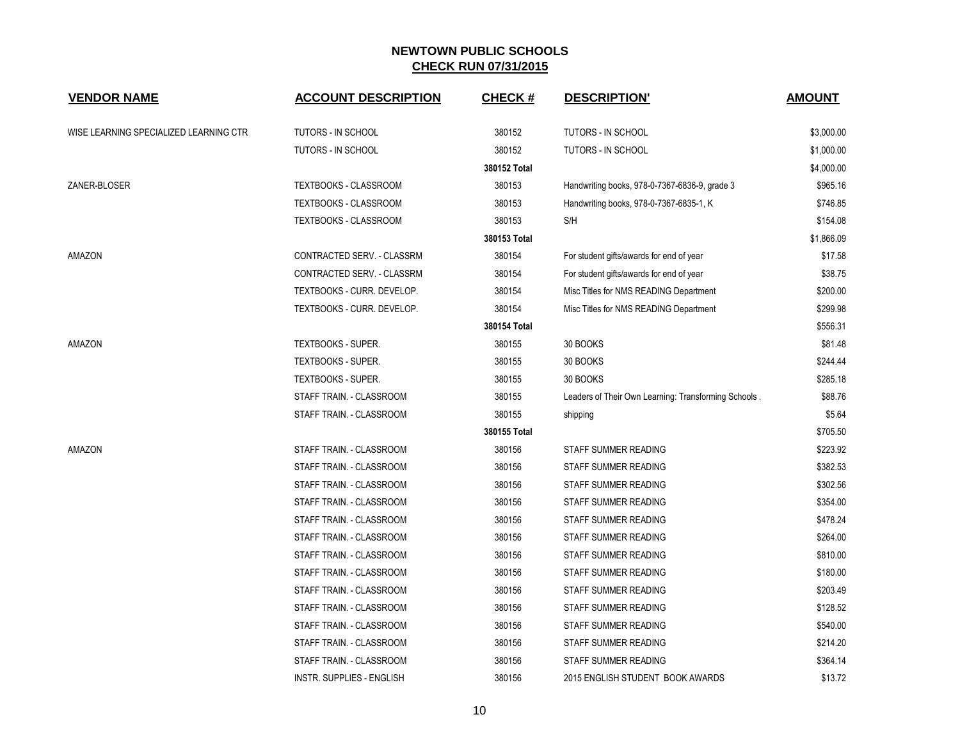| <b>VENDOR NAME</b>                     | <b>ACCOUNT DESCRIPTION</b>   | <b>CHECK#</b> | <b>DESCRIPTION'</b>                                  | <b>AMOUNT</b> |
|----------------------------------------|------------------------------|---------------|------------------------------------------------------|---------------|
| WISE LEARNING SPECIALIZED LEARNING CTR | TUTORS - IN SCHOOL           | 380152        | <b>TUTORS - IN SCHOOL</b>                            | \$3,000.00    |
|                                        | <b>TUTORS - IN SCHOOL</b>    | 380152        | <b>TUTORS - IN SCHOOL</b>                            | \$1,000.00    |
|                                        |                              | 380152 Total  |                                                      | \$4,000.00    |
| ZANER-BLOSER                           | TEXTBOOKS - CLASSROOM        | 380153        | Handwriting books, 978-0-7367-6836-9, grade 3        | \$965.16      |
|                                        | <b>TEXTBOOKS - CLASSROOM</b> | 380153        | Handwriting books, 978-0-7367-6835-1, K              | \$746.85      |
|                                        | TEXTBOOKS - CLASSROOM        | 380153        | S/H                                                  | \$154.08      |
|                                        |                              | 380153 Total  |                                                      | \$1,866.09    |
| AMAZON                                 | CONTRACTED SERV. - CLASSRM   | 380154        | For student gifts/awards for end of year             | \$17.58       |
|                                        | CONTRACTED SERV. - CLASSRM   | 380154        | For student gifts/awards for end of year             | \$38.75       |
|                                        | TEXTBOOKS - CURR. DEVELOP.   | 380154        | Misc Titles for NMS READING Department               | \$200.00      |
|                                        | TEXTBOOKS - CURR. DEVELOP.   | 380154        | Misc Titles for NMS READING Department               | \$299.98      |
|                                        |                              | 380154 Total  |                                                      | \$556.31      |
| AMAZON                                 | <b>TEXTBOOKS - SUPER.</b>    | 380155        | 30 BOOKS                                             | \$81.48       |
|                                        | <b>TEXTBOOKS - SUPER.</b>    | 380155        | 30 BOOKS                                             | \$244.44      |
|                                        | <b>TEXTBOOKS - SUPER.</b>    | 380155        | 30 BOOKS                                             | \$285.18      |
|                                        | STAFF TRAIN. - CLASSROOM     | 380155        | Leaders of Their Own Learning: Transforming Schools. | \$88.76       |
|                                        | STAFF TRAIN. - CLASSROOM     | 380155        | shipping                                             | \$5.64        |
|                                        |                              | 380155 Total  |                                                      | \$705.50      |
| AMAZON                                 | STAFF TRAIN. - CLASSROOM     | 380156        | STAFF SUMMER READING                                 | \$223.92      |
|                                        | STAFF TRAIN. - CLASSROOM     | 380156        | STAFF SUMMER READING                                 | \$382.53      |
|                                        | STAFF TRAIN. - CLASSROOM     | 380156        | STAFF SUMMER READING                                 | \$302.56      |
|                                        | STAFF TRAIN. - CLASSROOM     | 380156        | STAFF SUMMER READING                                 | \$354.00      |
|                                        | STAFF TRAIN. - CLASSROOM     | 380156        | STAFF SUMMER READING                                 | \$478.24      |
|                                        | STAFF TRAIN. - CLASSROOM     | 380156        | STAFF SUMMER READING                                 | \$264.00      |
|                                        | STAFF TRAIN. - CLASSROOM     | 380156        | STAFF SUMMER READING                                 | \$810.00      |
|                                        | STAFF TRAIN. - CLASSROOM     | 380156        | STAFF SUMMER READING                                 | \$180.00      |
|                                        | STAFF TRAIN. - CLASSROOM     | 380156        | STAFF SUMMER READING                                 | \$203.49      |
|                                        | STAFF TRAIN. - CLASSROOM     | 380156        | STAFF SUMMER READING                                 | \$128.52      |
|                                        | STAFF TRAIN. - CLASSROOM     | 380156        | STAFF SUMMER READING                                 | \$540.00      |
|                                        | STAFF TRAIN. - CLASSROOM     | 380156        | STAFF SUMMER READING                                 | \$214.20      |
|                                        | STAFF TRAIN. - CLASSROOM     | 380156        | STAFF SUMMER READING                                 | \$364.14      |
|                                        | INSTR. SUPPLIES - ENGLISH    | 380156        | 2015 ENGLISH STUDENT BOOK AWARDS                     | \$13.72       |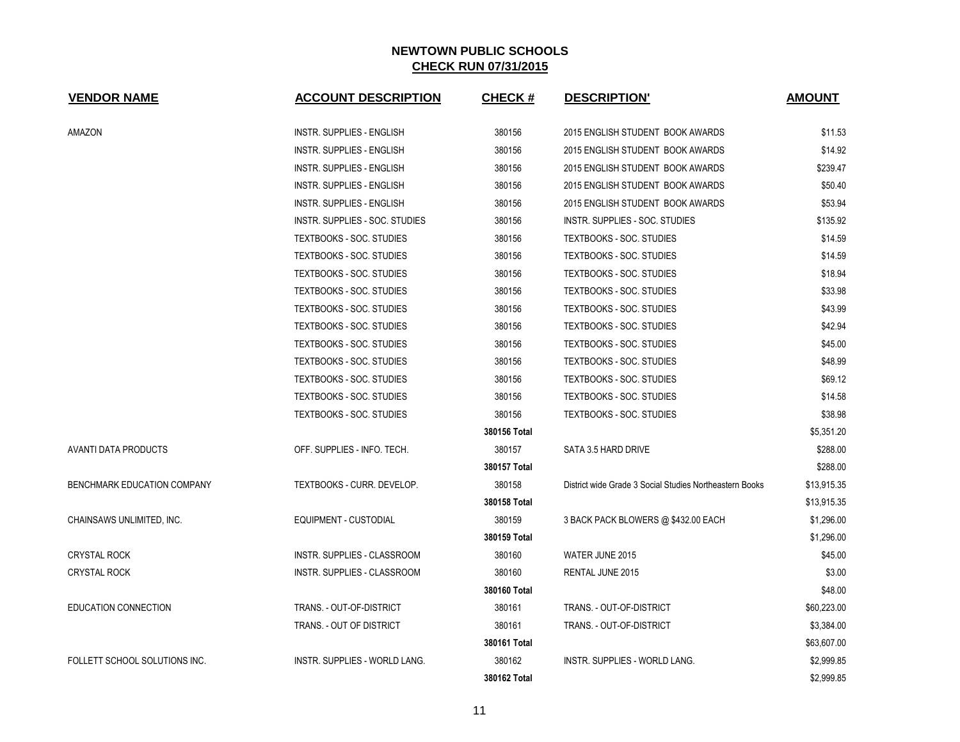| <b>VENDOR NAME</b>            | <b>ACCOUNT DESCRIPTION</b>           | <b>CHECK#</b> | <b>DESCRIPTION'</b>                                     | <b>AMOUNT</b> |
|-------------------------------|--------------------------------------|---------------|---------------------------------------------------------|---------------|
| AMAZON                        | <b>INSTR. SUPPLIES - ENGLISH</b>     | 380156        | 2015 ENGLISH STUDENT BOOK AWARDS                        | \$11.53       |
|                               | <b>INSTR. SUPPLIES - ENGLISH</b>     | 380156        | 2015 ENGLISH STUDENT BOOK AWARDS                        | \$14.92       |
|                               | INSTR. SUPPLIES - ENGLISH            | 380156        | 2015 ENGLISH STUDENT BOOK AWARDS                        | \$239.47      |
|                               | INSTR. SUPPLIES - ENGLISH            | 380156        | 2015 ENGLISH STUDENT BOOK AWARDS                        | \$50.40       |
|                               | <b>INSTR. SUPPLIES - ENGLISH</b>     | 380156        | 2015 ENGLISH STUDENT BOOK AWARDS                        | \$53.94       |
|                               | INSTR. SUPPLIES - SOC. STUDIES       | 380156        | INSTR. SUPPLIES - SOC. STUDIES                          | \$135.92      |
|                               | <b>TEXTBOOKS - SOC. STUDIES</b>      | 380156        | TEXTBOOKS - SOC. STUDIES                                | \$14.59       |
|                               | <b>TEXTBOOKS - SOC. STUDIES</b>      | 380156        | TEXTBOOKS - SOC. STUDIES                                | \$14.59       |
|                               | TEXTBOOKS - SOC. STUDIES             | 380156        | TEXTBOOKS - SOC. STUDIES                                | \$18.94       |
|                               | <b>TEXTBOOKS - SOC. STUDIES</b>      | 380156        | TEXTBOOKS - SOC. STUDIES                                | \$33.98       |
|                               | <b>TEXTBOOKS - SOC. STUDIES</b>      | 380156        | <b>TEXTBOOKS - SOC. STUDIES</b>                         | \$43.99       |
|                               | <b>TEXTBOOKS - SOC. STUDIES</b>      | 380156        | <b>TEXTBOOKS - SOC. STUDIES</b>                         | \$42.94       |
|                               | <b>TEXTBOOKS - SOC. STUDIES</b>      | 380156        | TEXTBOOKS - SOC. STUDIES                                | \$45.00       |
|                               | <b>TEXTBOOKS - SOC. STUDIES</b>      | 380156        | TEXTBOOKS - SOC. STUDIES                                | \$48.99       |
|                               | <b>TEXTBOOKS - SOC. STUDIES</b>      | 380156        | <b>TEXTBOOKS - SOC. STUDIES</b>                         | \$69.12       |
|                               | <b>TEXTBOOKS - SOC. STUDIES</b>      | 380156        | <b>TEXTBOOKS - SOC. STUDIES</b>                         | \$14.58       |
|                               | <b>TEXTBOOKS - SOC. STUDIES</b>      | 380156        | TEXTBOOKS - SOC. STUDIES                                | \$38.98       |
|                               |                                      | 380156 Total  |                                                         | \$5,351.20    |
| AVANTI DATA PRODUCTS          | OFF. SUPPLIES - INFO. TECH.          | 380157        | SATA 3.5 HARD DRIVE                                     | \$288.00      |
|                               |                                      | 380157 Total  |                                                         | \$288.00      |
| BENCHMARK EDUCATION COMPANY   | TEXTBOOKS - CURR. DEVELOP.           | 380158        | District wide Grade 3 Social Studies Northeastern Books | \$13,915.35   |
|                               |                                      | 380158 Total  |                                                         | \$13,915.35   |
| CHAINSAWS UNLIMITED, INC.     | EQUIPMENT - CUSTODIAL                | 380159        | 3 BACK PACK BLOWERS @ \$432.00 EACH                     | \$1,296.00    |
|                               |                                      | 380159 Total  |                                                         | \$1,296.00    |
| <b>CRYSTAL ROCK</b>           | INSTR. SUPPLIES - CLASSROOM          | 380160        | WATER JUNE 2015                                         | \$45.00       |
| <b>CRYSTAL ROCK</b>           | INSTR. SUPPLIES - CLASSROOM          | 380160        | RENTAL JUNE 2015                                        | \$3.00        |
|                               |                                      | 380160 Total  |                                                         | \$48.00       |
| <b>EDUCATION CONNECTION</b>   | TRANS. - OUT-OF-DISTRICT             | 380161        | TRANS. - OUT-OF-DISTRICT                                | \$60,223.00   |
|                               | TRANS. - OUT OF DISTRICT             | 380161        | TRANS. - OUT-OF-DISTRICT                                | \$3,384.00    |
|                               |                                      | 380161 Total  |                                                         | \$63,607.00   |
| FOLLETT SCHOOL SOLUTIONS INC. | <b>INSTR. SUPPLIES - WORLD LANG.</b> | 380162        | <b>INSTR. SUPPLIES - WORLD LANG.</b>                    | \$2,999.85    |
|                               |                                      | 380162 Total  |                                                         | \$2,999.85    |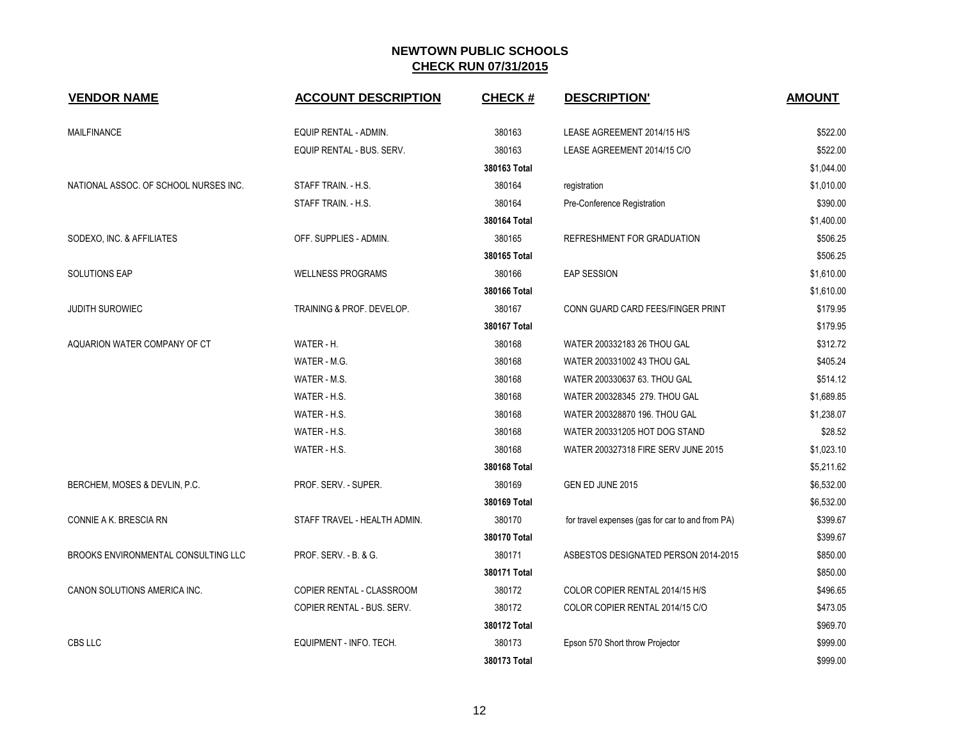| <b>VENDOR NAME</b>                    | <b>ACCOUNT DESCRIPTION</b>   | <b>CHECK#</b> | <b>DESCRIPTION'</b>                              | <b>AMOUNT</b> |
|---------------------------------------|------------------------------|---------------|--------------------------------------------------|---------------|
| MAILFINANCE                           | EQUIP RENTAL - ADMIN.        | 380163        | LEASE AGREEMENT 2014/15 H/S                      | \$522.00      |
|                                       | EQUIP RENTAL - BUS. SERV.    | 380163        | LEASE AGREEMENT 2014/15 C/O                      | \$522.00      |
|                                       |                              | 380163 Total  |                                                  | \$1,044.00    |
| NATIONAL ASSOC. OF SCHOOL NURSES INC. | STAFF TRAIN. - H.S.          | 380164        | registration                                     | \$1,010.00    |
|                                       | STAFF TRAIN. - H.S.          | 380164        | Pre-Conference Registration                      | \$390.00      |
|                                       |                              | 380164 Total  |                                                  | \$1,400.00    |
| SODEXO, INC. & AFFILIATES             | OFF. SUPPLIES - ADMIN.       | 380165        | REFRESHMENT FOR GRADUATION                       | \$506.25      |
|                                       |                              | 380165 Total  |                                                  | \$506.25      |
| <b>SOLUTIONS EAP</b>                  | <b>WELLNESS PROGRAMS</b>     | 380166        | <b>EAP SESSION</b>                               | \$1,610.00    |
|                                       |                              | 380166 Total  |                                                  | \$1,610.00    |
| <b>JUDITH SUROWIEC</b>                | TRAINING & PROF. DEVELOP.    | 380167        | CONN GUARD CARD FEES/FINGER PRINT                | \$179.95      |
|                                       |                              | 380167 Total  |                                                  | \$179.95      |
| AQUARION WATER COMPANY OF CT          | WATER - H.                   | 380168        | WATER 200332183 26 THOU GAL                      | \$312.72      |
|                                       | WATER - M.G.                 | 380168        | WATER 200331002 43 THOU GAL                      | \$405.24      |
|                                       | WATER - M.S.                 | 380168        | WATER 200330637 63. THOU GAL                     | \$514.12      |
|                                       | WATER - H.S.                 | 380168        | WATER 200328345 279. THOU GAL                    | \$1,689.85    |
|                                       | WATER - H.S.                 | 380168        | WATER 200328870 196. THOU GAL                    | \$1,238.07    |
|                                       | WATER - H.S.                 | 380168        | WATER 200331205 HOT DOG STAND                    | \$28.52       |
|                                       | WATER - H.S.                 | 380168        | WATER 200327318 FIRE SERV JUNE 2015              | \$1,023.10    |
|                                       |                              | 380168 Total  |                                                  | \$5,211.62    |
| BERCHEM, MOSES & DEVLIN, P.C.         | PROF. SERV. - SUPER.         | 380169        | GEN ED JUNE 2015                                 | \$6,532.00    |
|                                       |                              | 380169 Total  |                                                  | \$6,532.00    |
| CONNIE A K. BRESCIA RN                | STAFF TRAVEL - HEALTH ADMIN. | 380170        | for travel expenses (gas for car to and from PA) | \$399.67      |
|                                       |                              | 380170 Total  |                                                  | \$399.67      |
| BROOKS ENVIRONMENTAL CONSULTING LLC   | PROF. SERV. - B. & G.        | 380171        | ASBESTOS DESIGNATED PERSON 2014-2015             | \$850.00      |
|                                       |                              | 380171 Total  |                                                  | \$850.00      |
| CANON SOLUTIONS AMERICA INC.          | COPIER RENTAL - CLASSROOM    | 380172        | COLOR COPIER RENTAL 2014/15 H/S                  | \$496.65      |
|                                       | COPIER RENTAL - BUS. SERV.   | 380172        | COLOR COPIER RENTAL 2014/15 C/O                  | \$473.05      |
|                                       |                              | 380172 Total  |                                                  | \$969.70      |
| CBS LLC                               | EQUIPMENT - INFO. TECH.      | 380173        | Epson 570 Short throw Projector                  | \$999.00      |
|                                       |                              | 380173 Total  |                                                  | \$999.00      |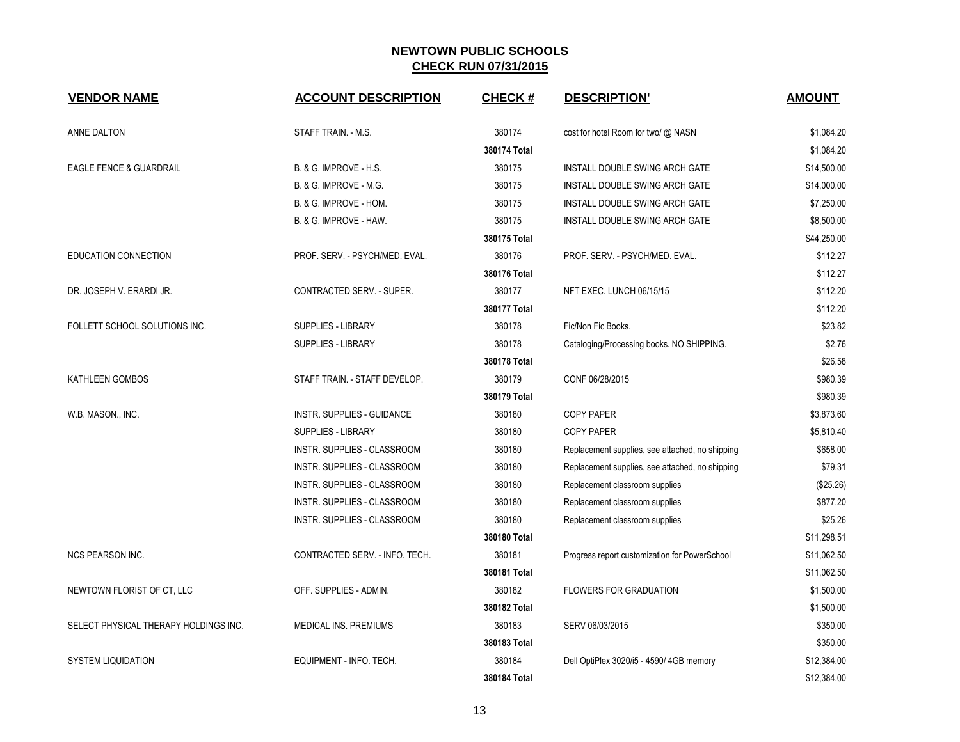| <b>VENDOR NAME</b>                    | <b>ACCOUNT DESCRIPTION</b>     | <b>CHECK#</b> | <b>DESCRIPTION'</b>                             | <b>AMOUNT</b> |  |
|---------------------------------------|--------------------------------|---------------|-------------------------------------------------|---------------|--|
| ANNE DALTON                           | STAFF TRAIN. - M.S.            | 380174        | cost for hotel Room for two/ @ NASN             | \$1,084.20    |  |
|                                       |                                | 380174 Total  |                                                 | \$1,084.20    |  |
| EAGLE FENCE & GUARDRAIL               | B. & G. IMPROVE - H.S.         | 380175        | INSTALL DOUBLE SWING ARCH GATE                  | \$14,500.00   |  |
|                                       | B. & G. IMPROVE - M.G.         | 380175        | INSTALL DOUBLE SWING ARCH GATE                  | \$14,000.00   |  |
|                                       | B. & G. IMPROVE - HOM.         | 380175        | INSTALL DOUBLE SWING ARCH GATE                  | \$7,250.00    |  |
|                                       | B. & G. IMPROVE - HAW.         | 380175        | INSTALL DOUBLE SWING ARCH GATE                  | \$8,500.00    |  |
|                                       |                                | 380175 Total  |                                                 | \$44,250.00   |  |
| EDUCATION CONNECTION                  | PROF. SERV. - PSYCH/MED. EVAL. | 380176        | PROF. SERV. - PSYCH/MED. EVAL.                  | \$112.27      |  |
|                                       |                                | 380176 Total  |                                                 | \$112.27      |  |
| DR. JOSEPH V. ERARDI JR.              | CONTRACTED SERV. - SUPER.      | 380177        | NFT EXEC. LUNCH 06/15/15                        | \$112.20      |  |
|                                       |                                | 380177 Total  |                                                 | \$112.20      |  |
| FOLLETT SCHOOL SOLUTIONS INC.         | <b>SUPPLIES - LIBRARY</b>      | 380178        | Fic/Non Fic Books.                              | \$23.82       |  |
|                                       | SUPPLIES - LIBRARY             | 380178        | Cataloging/Processing books. NO SHIPPING.       | \$2.76        |  |
|                                       |                                | 380178 Total  |                                                 | \$26.58       |  |
| KATHLEEN GOMBOS                       | STAFF TRAIN. - STAFF DEVELOP.  | 380179        | CONF 06/28/2015                                 | \$980.39      |  |
|                                       |                                | 380179 Total  |                                                 | \$980.39      |  |
| W.B. MASON., INC.                     | INSTR. SUPPLIES - GUIDANCE     | 380180        | <b>COPY PAPER</b>                               | \$3,873.60    |  |
|                                       | SUPPLIES - LIBRARY             | 380180        | <b>COPY PAPER</b>                               | \$5,810.40    |  |
|                                       | INSTR. SUPPLIES - CLASSROOM    | 380180        | Replacement supplies, see attached, no shipping | \$658.00      |  |
|                                       | INSTR. SUPPLIES - CLASSROOM    | 380180        | Replacement supplies, see attached, no shipping | \$79.31       |  |
|                                       | INSTR. SUPPLIES - CLASSROOM    | 380180        | Replacement classroom supplies                  | (\$25.26)     |  |
|                                       | INSTR. SUPPLIES - CLASSROOM    | 380180        | Replacement classroom supplies                  | \$877.20      |  |
|                                       | INSTR. SUPPLIES - CLASSROOM    | 380180        | Replacement classroom supplies                  | \$25.26       |  |
|                                       |                                | 380180 Total  |                                                 | \$11,298.51   |  |
| <b>NCS PEARSON INC.</b>               | CONTRACTED SERV. - INFO. TECH. | 380181        | Progress report customization for PowerSchool   | \$11,062.50   |  |
|                                       |                                | 380181 Total  |                                                 | \$11,062.50   |  |
| NEWTOWN FLORIST OF CT, LLC            | OFF. SUPPLIES - ADMIN.         | 380182        | <b>FLOWERS FOR GRADUATION</b>                   | \$1,500.00    |  |
|                                       |                                | 380182 Total  |                                                 | \$1,500.00    |  |
| SELECT PHYSICAL THERAPY HOLDINGS INC. | MEDICAL INS. PREMIUMS          | 380183        | SERV 06/03/2015                                 | \$350.00      |  |
|                                       |                                | 380183 Total  |                                                 | \$350.00      |  |
| <b>SYSTEM LIQUIDATION</b>             | EQUIPMENT - INFO. TECH.        | 380184        | Dell OptiPlex 3020/i5 - 4590/4GB memory         | \$12,384.00   |  |
|                                       |                                | 380184 Total  |                                                 | \$12,384.00   |  |